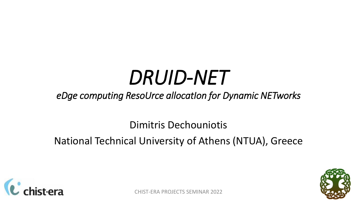# *DRUID-NET*

#### *eDge computing ResoUrce allocatIon for Dynamic NETworks*

Dimitris Dechouniotis

National Technical University of Athens (NTUA), Greece



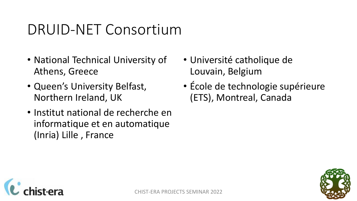### DRUID-NET Consortium

- National Technical University of Athens, Greece
- Queen's University Belfast, Northern Ireland, UK
- Institut national de recherche en informatique et en automatique (Inria) Lille , France
- Université catholique de Louvain, Belgium
- École de technologie supérieure (ETS), Montreal, Canada



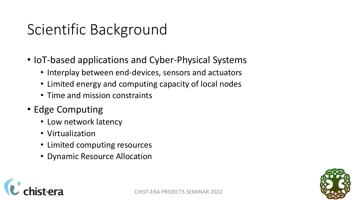### Scientific Background

- IoT-based applications and Cyber-Physical Systems
	- Interplay between end-devices, sensors and actuators
	- Limited energy and computing capacity of local nodes
	- Time and mission constraints
- Edge Computing
	- Low network latency
	- Virtualization
	- Limited computing resources
	- Dynamic Resource Allocation



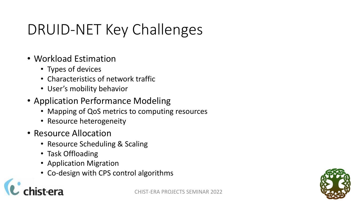## DRUID-NET Key Challenges

- Workload Estimation
	- Types of devices
	- Characteristics of network traffic
	- User's mobility behavior
- Application Performance Modeling
	- Mapping of QoS metrics to computing resources
	- Resource heterogeneity
- Resource Allocation
	- Resource Scheduling & Scaling
	- Task Offloading
	- Application Migration
	- Co-design with CPS control algorithms

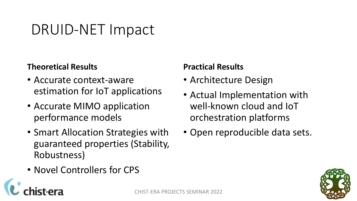### DRUID-NET Impact

#### **Theoretical Results**

- Accurate context-aware estimation for IoT applications
- Accurate MIMO application performance models
- Smart Allocation Strategies with guaranteed properties (Stability, Robustness)
- Novel Controllers for CPS

#### **Practical Results**

- Architecture Design
- Actual Implementation with well-known cloud and IoT orchestration platforms
- Open reproducible data sets.

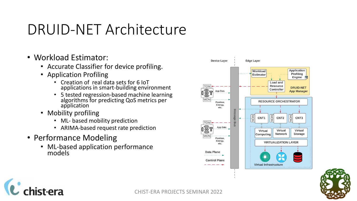### DRUID-NET Architecture

- Workload Estimator:
	- Accurate Classifier for device profiling.
	- Application Profiling
		- Creation of real data sets for 6 IoT applications in smart-building environment
		- 5 tested regression-based machine learning algorithms for predicting QoS metrics per application
	- Mobility profiling
		- ML- based mobility prediction
		- ARIMA-based request rate prediction
- Performance Modeling

ist-era

• ML-based application performance models



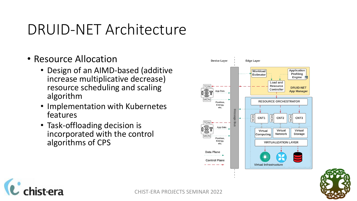#### DRUID-NET Architecture

- Resource Allocation
	- Design of an AIMD-based (additive increase multiplicative decrease) resource scheduling and scaling algorithm
	- Implementation with Kubernetes features
	- Task-offloading decision is incorporated with the control algorithms of CPS



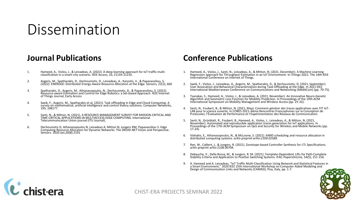#### Dissemination

#### **Journal Publications**

- 1. Hameed, A., Violos, J., & Leivadeas, A. (2022). A deep learning approach for IoT traffic multi-classification in a smart-city scenario. IEEE Access, 10, 21193-21210.
- 2. Avgeris, M., Spatharakis, D., Dechouniotis, D., Leivadeas, A., Karyotis, V., & Papavassiliou, S. (2022). ENERDGE: Distributed Energy-Aware Resource Allocation at the Edge. Sensors, 22(2), 660
- 3. Spatharakis, D., Avgeris, M., Athanasopoulos, N., Dechouniotis, D., & Papavassiliou, S. (2022). Resource-aware Estimation and Control for Edge Robotics: a Set-based Approach. IEEE Internet of Things Journal, Early Access
- 4. Saeik, F., Avgeris, M., Spatharakis et al. (2021). Task offloading in Edge and Cloud Computing: A survey on mathematical, artificial intelligence and control theory solutions. Computer Networks, 195, 108177.
- 5. Santi, N., & Mitton, N. (2021). A RESOURCE MANAGEMENT SURVEY FOR MISSION-CRITICAL AND TIME-CRITICAL APPLICATIONS IN MULTIACCESS EDGE COMPUTING. International Telecommunication Union journal (ITU Journal).
- 6. Dechouniotis D, Athanasopoulos N, Leivadeas A, Mitton N, Jungers RM, Papavassiliou S. Edge Computing Resource Allocation for Dynamic Networks: The DRUID-NET Vision and Perspective. Sensors. 2020 Jan;20(8):2191

#### **Conference Publications**

- 1. Hameed, A., Violos, J., Santi, N., Leivadeas, A., & Mitton, N. (2021, December). A Machine Learning<br>Regression approach for Throughput Estimation in an IoT Environment. In iThings-2021: The 14th IEEE<br>International Confe
- 2. Saeik, F., Violos, J., Leivadeas, A., Avgeris, M., Spatharakis, D., & Dechouniotis, D. (2021, September).<br>User Association and Behavioral Characterization during Task Offloading at the Edge. In 2021 IEEE<br>International M
- 3. Tsanakas, S., Hameed, A., Violos, J., & Leivadeas, A. (2021, November). An Innovative Neuro-Genetic<br>Algorithm and Geometric Loss Function for Mobility Prediction. In Proceedings of the 19th ACM<br>International Symposium o
- 4. Santi, N., Foubert, B., & Mitton, N. (2021, May). Comment générer des traces applicatives avec FIT IoT-<br>LAB pour la science ouverte. In CORES 2021–6ème Rencontres Francophones sur la Conception de<br>Protocoles, l'Évaluati
- 5. Santi, N., Grünblatt, R., Foubert, B., Hameed, A., Violos, J., Leivadeas, A., & Mitton, N. (2021,<br>November). Automated and reproducible application traces generation for IoT applications. In<br>Proceedings of the 17th ACM 17-24).
- 6. Vlahakis, E., Athanasopoulos, N., & McLoone, S. (2021). AIMD scheduling and resource allocation in distributed computing systems. *arXiv preprint arXiv:2109.02589*.
- 7. Ren, W., Calbert, J., & Jungers, R. (2021). Zonotope-based Controller Synthesis for LTL Specifications. arXiv preprint arXiv:2108.00704.
- 8. Debauche, V., Della Rossa, M., & Jungers, R. M. (2021). Template-Dependent Lifts for Path-Complete Stability Criteria and Application to Positive Switching Systems. IFAC-PapersOnLine, 54(5), 151-156.
- 9. A. Hameed and A. Leivadeas, "IoT Traffic Multi-Classification Using Network and Statistical Features in<br>a Smart Environment," 2020 IEEE 25th International Workshop on Computer Aided Modeling and<br>Design of Communication



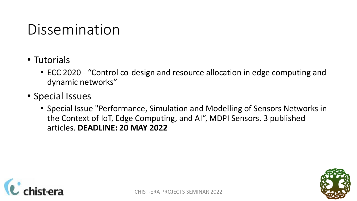### Dissemination

- Tutorials
	- ECC 2020 "Control co-design and resource allocation in edge computing and dynamic networks"
- Special Issues
	- Special Issue "Performance, Simulation and Modelling of Sensors Networks in the Context of IoT, Edge Computing, and AI", MDPI Sensors. 3 published articles. **DEADLINE: 20 MAY 2022**



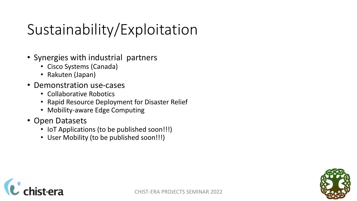## Sustainability/Exploitation

- Synergies with industrial partners
	- Cisco Systems (Canada)
	- Rakuten (Japan)
- Demonstration use-cases
	- Collaborative Robotics
	- Rapid Resource Deployment for Disaster Relief
	- Mobility-aware Edge Computing
- Open Datasets
	- IoT Applications (to be published soon!!!)
	- User Mobility (to be published soon!!!)



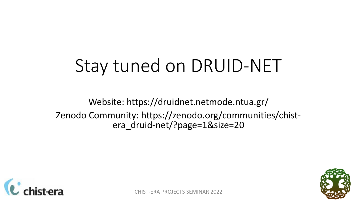## Stay tuned on DRUID-NET

Website: https://druidnet.netmode.ntua.gr/ Zenodo Community: https://zenodo.org/communities/chistera\_druid-net/?page=1&size=20